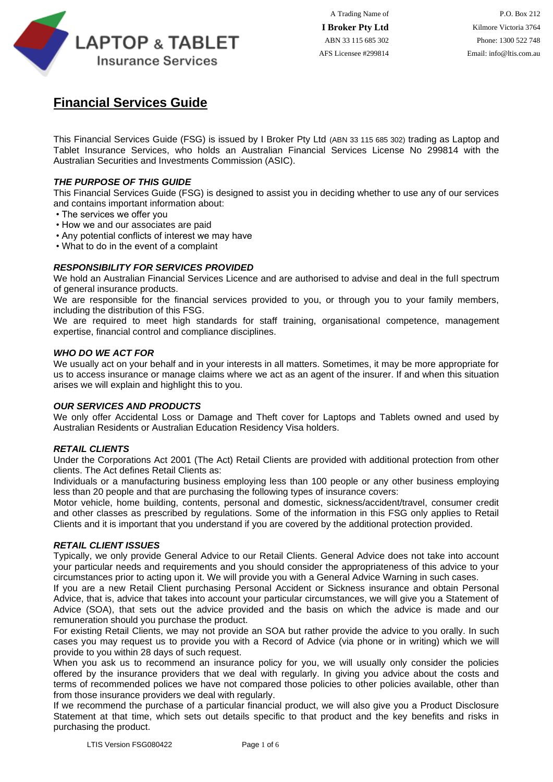

## **Financial Services Guide**

This Financial Services Guide (FSG) is issued by I Broker Pty Ltd (ABN 33 115 685 302) trading as Laptop and Tablet Insurance Services, who holds an Australian Financial Services License No 299814 with the Australian Securities and Investments Commission (ASIC).

## *THE PURPOSE OF THIS GUIDE*

This Financial Services Guide (FSG) is designed to assist you in deciding whether to use any of our services and contains important information about:

- The services we offer you
- How we and our associates are paid
- Any potential conflicts of interest we may have
- What to do in the event of a complaint

## *RESPONSIBILITY FOR SERVICES PROVIDED*

We hold an Australian Financial Services Licence and are authorised to advise and deal in the full spectrum of general insurance products.

We are responsible for the financial services provided to you, or through you to your family members, including the distribution of this FSG.

We are required to meet high standards for staff training, organisational competence, management expertise, financial control and compliance disciplines.

## *WHO DO WE ACT FOR*

We usually act on your behalf and in your interests in all matters. Sometimes, it may be more appropriate for us to access insurance or manage claims where we act as an agent of the insurer. If and when this situation arises we will explain and highlight this to you.

## *OUR SERVICES AND PRODUCTS*

We only offer Accidental Loss or Damage and Theft cover for Laptops and Tablets owned and used by Australian Residents or Australian Education Residency Visa holders.

## *RETAIL CLIENTS*

Under the Corporations Act 2001 (The Act) Retail Clients are provided with additional protection from other clients. The Act defines Retail Clients as:

Individuals or a manufacturing business employing less than 100 people or any other business employing less than 20 people and that are purchasing the following types of insurance covers:

Motor vehicle, home building, contents, personal and domestic, sickness/accident/travel, consumer credit and other classes as prescribed by regulations. Some of the information in this FSG only applies to Retail Clients and it is important that you understand if you are covered by the additional protection provided.

## *RETAIL CLIENT ISSUES*

Typically, we only provide General Advice to our Retail Clients. General Advice does not take into account your particular needs and requirements and you should consider the appropriateness of this advice to your circumstances prior to acting upon it. We will provide you with a General Advice Warning in such cases.

If you are a new Retail Client purchasing Personal Accident or Sickness insurance and obtain Personal Advice, that is, advice that takes into account your particular circumstances, we will give you a Statement of Advice (SOA), that sets out the advice provided and the basis on which the advice is made and our remuneration should you purchase the product.

For existing Retail Clients, we may not provide an SOA but rather provide the advice to you orally. In such cases you may request us to provide you with a Record of Advice (via phone or in writing) which we will provide to you within 28 days of such request.

When you ask us to recommend an insurance policy for you, we will usually only consider the policies offered by the insurance providers that we deal with regularly. In giving you advice about the costs and terms of recommended polices we have not compared those policies to other policies available, other than from those insurance providers we deal with regularly.

If we recommend the purchase of a particular financial product, we will also give you a Product Disclosure Statement at that time, which sets out details specific to that product and the key benefits and risks in purchasing the product.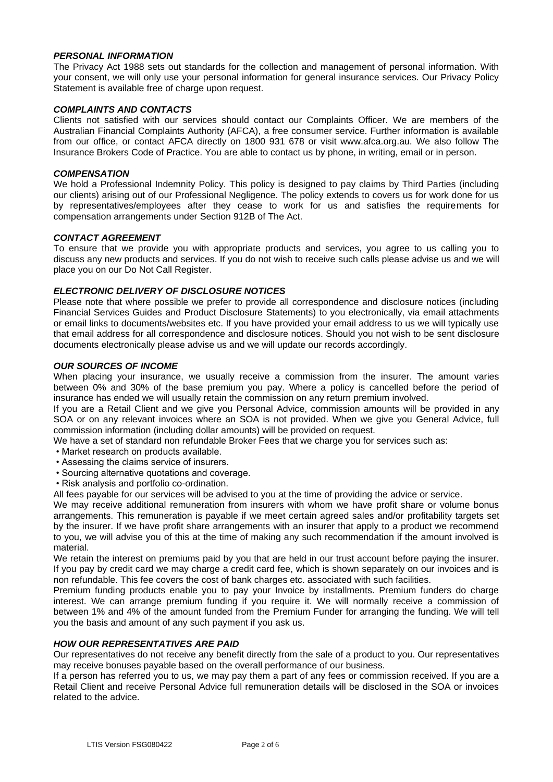## *PERSONAL INFORMATION*

The Privacy Act 1988 sets out standards for the collection and management of personal information. With your consent, we will only use your personal information for general insurance services. Our Privacy Policy Statement is available free of charge upon request.

## *COMPLAINTS AND CONTACTS*

Clients not satisfied with our services should contact our Complaints Officer. We are members of the Australian Financial Complaints Authority (AFCA), a free consumer service. Further information is available from our office, or contact AFCA directly on 1800 931 678 or visit www.afca.org.au. We also follow The Insurance Brokers Code of Practice. You are able to contact us by phone, in writing, email or in person.

## *COMPENSATION*

We hold a Professional Indemnity Policy. This policy is designed to pay claims by Third Parties (including our clients) arising out of our Professional Negligence. The policy extends to covers us for work done for us by representatives/employees after they cease to work for us and satisfies the requirements for compensation arrangements under Section 912B of The Act.

## *CONTACT AGREEMENT*

To ensure that we provide you with appropriate products and services, you agree to us calling you to discuss any new products and services. If you do not wish to receive such calls please advise us and we will place you on our Do Not Call Register.

## *ELECTRONIC DELIVERY OF DISCLOSURE NOTICES*

Please note that where possible we prefer to provide all correspondence and disclosure notices (including Financial Services Guides and Product Disclosure Statements) to you electronically, via email attachments or email links to documents/websites etc. If you have provided your email address to us we will typically use that email address for all correspondence and disclosure notices. Should you not wish to be sent disclosure documents electronically please advise us and we will update our records accordingly.

## *OUR SOURCES OF INCOME*

When placing your insurance, we usually receive a commission from the insurer. The amount varies between 0% and 30% of the base premium you pay. Where a policy is cancelled before the period of insurance has ended we will usually retain the commission on any return premium involved.

If you are a Retail Client and we give you Personal Advice, commission amounts will be provided in any SOA or on any relevant invoices where an SOA is not provided. When we give you General Advice, full commission information (including dollar amounts) will be provided on request.

We have a set of standard non refundable Broker Fees that we charge you for services such as:

- Market research on products available.
- Assessing the claims service of insurers.
- Sourcing alternative quotations and coverage.
- Risk analysis and portfolio co-ordination.

All fees payable for our services will be advised to you at the time of providing the advice or service.

We may receive additional remuneration from insurers with whom we have profit share or volume bonus arrangements. This remuneration is payable if we meet certain agreed sales and/or profitability targets set by the insurer. If we have profit share arrangements with an insurer that apply to a product we recommend to you, we will advise you of this at the time of making any such recommendation if the amount involved is material.

We retain the interest on premiums paid by you that are held in our trust account before paying the insurer. If you pay by credit card we may charge a credit card fee, which is shown separately on our invoices and is non refundable. This fee covers the cost of bank charges etc. associated with such facilities.

Premium funding products enable you to pay your Invoice by installments. Premium funders do charge interest. We can arrange premium funding if you require it. We will normally receive a commission of between 1% and 4% of the amount funded from the Premium Funder for arranging the funding. We will tell you the basis and amount of any such payment if you ask us.

## *HOW OUR REPRESENTATIVES ARE PAID*

Our representatives do not receive any benefit directly from the sale of a product to you. Our representatives may receive bonuses payable based on the overall performance of our business.

If a person has referred you to us, we may pay them a part of any fees or commission received. If you are a Retail Client and receive Personal Advice full remuneration details will be disclosed in the SOA or invoices related to the advice.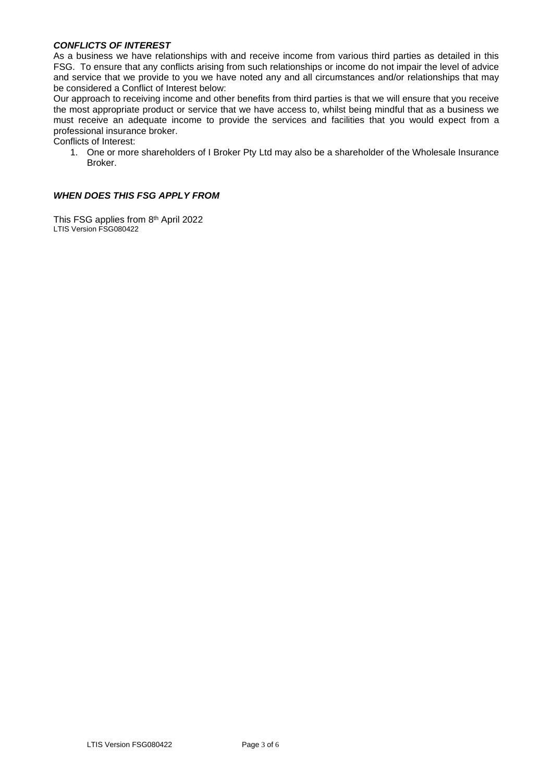## *CONFLICTS OF INTEREST*

As a business we have relationships with and receive income from various third parties as detailed in this FSG. To ensure that any conflicts arising from such relationships or income do not impair the level of advice and service that we provide to you we have noted any and all circumstances and/or relationships that may be considered a Conflict of Interest below:

Our approach to receiving income and other benefits from third parties is that we will ensure that you receive the most appropriate product or service that we have access to, whilst being mindful that as a business we must receive an adequate income to provide the services and facilities that you would expect from a professional insurance broker.

Conflicts of Interest:

1. One or more shareholders of I Broker Pty Ltd may also be a shareholder of the Wholesale Insurance Broker.

## *WHEN DOES THIS FSG APPLY FROM*

This FSG applies from 8<sup>th</sup> April 2022 LTIS Version FSG080422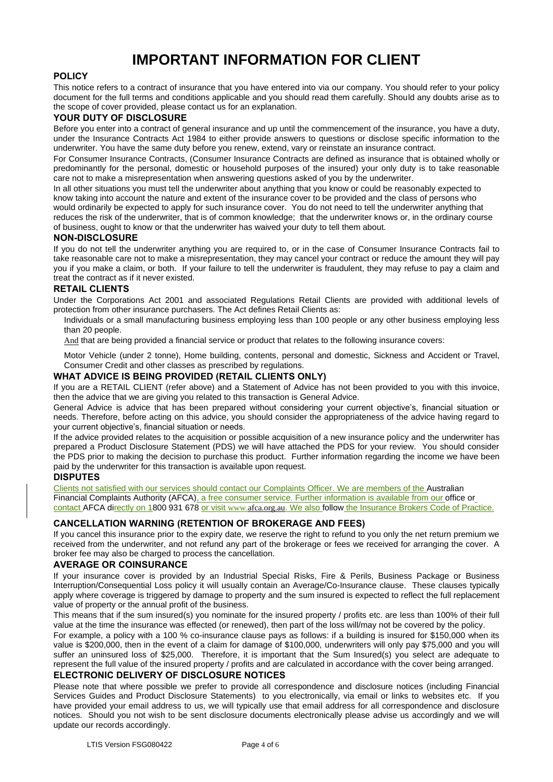# **IMPORTANT INFORMATION FOR CLIENT**

## **POLICY**

This notice refers to a contract of insurance that you have entered into via our company. You should refer to your policy document for the full terms and conditions applicable and you should read them carefully. Should any doubts arise as to the scope of cover provided, please contact us for an explanation.

#### **YOUR DUTY OF DISCLOSURE**

Before you enter into a contract of general insurance and up until the commencement of the insurance, you have a duty, under the Insurance Contracts Act 1984 to either provide answers to questions or disclose specific information to the underwriter. You have the same duty before you renew, extend, vary or reinstate an insurance contract.

For Consumer Insurance Contracts, (Consumer Insurance Contracts are defined as insurance that is obtained wholly or predominantly for the personal, domestic or household purposes of the insured) your only duty is to take reasonable care not to make a misrepresentation when answering questions asked of you by the underwriter.

In all other situations you must tell the underwriter about anything that you know or could be reasonably expected to know taking into account the nature and extent of the insurance cover to be provided and the class of persons who would ordinarily be expected to apply for such insurance cover. You do not need to tell the underwriter anything that reduces the risk of the underwriter, that is of common knowledge; that the underwriter knows or, in the ordinary course of business, ought to know or that the underwriter has waived your duty to tell them about.

#### **NON-DISCLOSURE**

If you do not tell the underwriter anything you are required to, or in the case of Consumer Insurance Contracts fail to take reasonable care not to make a misrepresentation, they may cancel your contract or reduce the amount they will pay you if you make a claim, or both. If your failure to tell the underwriter is fraudulent, they may refuse to pay a claim and treat the contract as if it never existed.

#### **RETAIL CLIENTS**

Under the Corporations Act 2001 and associated Regulations Retail Clients are provided with additional levels of protection from other insurance purchasers. The Act defines Retail Clients as:

Individuals or a small manufacturing business employing less than 100 people or any other business employing less than 20 people.

And that are being provided a financial service or product that relates to the following insurance covers:

Motor Vehicle (under 2 tonne), Home building, contents, personal and domestic, Sickness and Accident or Travel, Consumer Credit and other classes as prescribed by regulations.

## **WHAT ADVICE IS BEING PROVIDED (RETAIL CLIENTS ONLY)**

If you are a RETAIL CLIENT (refer above) and a Statement of Advice has not been provided to you with this invoice, then the advice that we are giving you related to this transaction is General Advice.

General Advice is advice that has been prepared without considering your current objective's, financial situation or needs. Therefore, before acting on this advice, you should consider the appropriateness of the advice having regard to your current objective's, financial situation or needs.

If the advice provided relates to the acquisition or possible acquisition of a new insurance policy and the underwriter has prepared a Product Disclosure Statement (PDS) we will have attached the PDS for your review. You should consider the PDS prior to making the decision to purchase this product. Further information regarding the income we have been paid by the underwriter for this transaction is available upon request.

## **DISPUTES**

Clients not satisfied with our services should contact our Complaints Officer. We are members of the Australian Financial Complaints Authority (AFCA), a free consumer service. Further information is available from our office or contact AFCA directly on 1800 931 678 or visit [www.afca.org.au](http://www.fos.org.au/). We also follow the Insurance Brokers Code of Practice.

## **CANCELLATION WARNING (RETENTION OF BROKERAGE AND FEES)**

If you cancel this insurance prior to the expiry date, we reserve the right to refund to you only the net return premium we received from the underwriter, and not refund any part of the brokerage or fees we received for arranging the cover. A broker fee may also be charged to process the cancellation.

## **AVERAGE OR COINSURANCE**

If your insurance cover is provided by an Industrial Special Risks, Fire & Perils, Business Package or Business Interruption/Consequential Loss policy it will usually contain an Average/Co-Insurance clause. These clauses typically apply where coverage is triggered by damage to property and the sum insured is expected to reflect the full replacement value of property or the annual profit of the business.

This means that if the sum insured(s) you nominate for the insured property / profits etc. are less than 100% of their full value at the time the insurance was effected (or renewed), then part of the loss will/may not be covered by the policy.

For example, a policy with a 100 % co-insurance clause pays as follows: if a building is insured for \$150,000 when its value is \$200,000, then in the event of a claim for damage of \$100,000, underwriters will only pay \$75,000 and you will suffer an uninsured loss of \$25,000. Therefore, it is important that the Sum Insured(s) you select are adequate to represent the full value of the insured property / profits and are calculated in accordance with the cover being arranged.

## **ELECTRONIC DELIVERY OF DISCLOSURE NOTICES**

Please note that where possible we prefer to provide all correspondence and disclosure notices (including Financial Services Guides and Product Disclosure Statements) to you electronically, via email or links to websites etc. If you have provided your email address to us, we will typically use that email address for all correspondence and disclosure notices. Should you not wish to be sent disclosure documents electronically please advise us accordingly and we will update our records accordingly.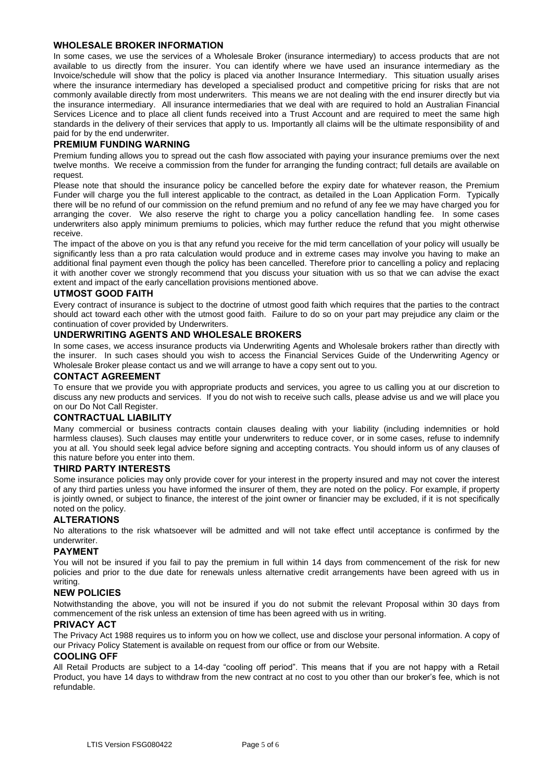## **WHOLESALE BROKER INFORMATION**

In some cases, we use the services of a Wholesale Broker (insurance intermediary) to access products that are not available to us directly from the insurer. You can identify where we have used an insurance intermediary as the Invoice/schedule will show that the policy is placed via another Insurance Intermediary. This situation usually arises where the insurance intermediary has developed a specialised product and competitive pricing for risks that are not commonly available directly from most underwriters. This means we are not dealing with the end insurer directly but via the insurance intermediary. All insurance intermediaries that we deal with are required to hold an Australian Financial Services Licence and to place all client funds received into a Trust Account and are required to meet the same high standards in the delivery of their services that apply to us. Importantly all claims will be the ultimate responsibility of and paid for by the end underwriter.

#### **PREMIUM FUNDING WARNING**

Premium funding allows you to spread out the cash flow associated with paying your insurance premiums over the next twelve months. We receive a commission from the funder for arranging the funding contract; full details are available on request.

Please note that should the insurance policy be cancelled before the expiry date for whatever reason, the Premium Funder will charge you the full interest applicable to the contract, as detailed in the Loan Application Form. Typically there will be no refund of our commission on the refund premium and no refund of any fee we may have charged you for arranging the cover. We also reserve the right to charge you a policy cancellation handling fee. In some cases underwriters also apply minimum premiums to policies, which may further reduce the refund that you might otherwise receive.

The impact of the above on you is that any refund you receive for the mid term cancellation of your policy will usually be significantly less than a pro rata calculation would produce and in extreme cases may involve you having to make an additional final payment even though the policy has been cancelled. Therefore prior to cancelling a policy and replacing it with another cover we strongly recommend that you discuss your situation with us so that we can advise the exact extent and impact of the early cancellation provisions mentioned above.

#### **UTMOST GOOD FAITH**

Every contract of insurance is subject to the doctrine of utmost good faith which requires that the parties to the contract should act toward each other with the utmost good faith. Failure to do so on your part may prejudice any claim or the continuation of cover provided by Underwriters.

## **UNDERWRITING AGENTS AND WHOLESALE BROKERS**

In some cases, we access insurance products via Underwriting Agents and Wholesale brokers rather than directly with the insurer. In such cases should you wish to access the Financial Services Guide of the Underwriting Agency or Wholesale Broker please contact us and we will arrange to have a copy sent out to you.

#### **CONTACT AGREEMENT**

To ensure that we provide you with appropriate products and services, you agree to us calling you at our discretion to discuss any new products and services. If you do not wish to receive such calls, please advise us and we will place you on our Do Not Call Register.

## **CONTRACTUAL LIABILITY**

Many commercial or business contracts contain clauses dealing with your liability (including indemnities or hold harmless clauses). Such clauses may entitle your underwriters to reduce cover, or in some cases, refuse to indemnify you at all. You should seek legal advice before signing and accepting contracts. You should inform us of any clauses of this nature before you enter into them.

#### **THIRD PARTY INTERESTS**

Some insurance policies may only provide cover for your interest in the property insured and may not cover the interest of any third parties unless you have informed the insurer of them, they are noted on the policy. For example, if property is jointly owned, or subject to finance, the interest of the joint owner or financier may be excluded, if it is not specifically noted on the policy.

#### **ALTERATIONS**

No alterations to the risk whatsoever will be admitted and will not take effect until acceptance is confirmed by the underwriter.

#### **PAYMENT**

You will not be insured if you fail to pay the premium in full within 14 days from commencement of the risk for new policies and prior to the due date for renewals unless alternative credit arrangements have been agreed with us in writing.

## **NEW POLICIES**

Notwithstanding the above, you will not be insured if you do not submit the relevant Proposal within 30 days from commencement of the risk unless an extension of time has been agreed with us in writing.

#### **PRIVACY ACT**

The Privacy Act 1988 requires us to inform you on how we collect, use and disclose your personal information. A copy of our Privacy Policy Statement is available on request from our office or from our Website.

#### **COOLING OFF**

All Retail Products are subject to a 14-day "cooling off period". This means that if you are not happy with a Retail Product, you have 14 days to withdraw from the new contract at no cost to you other than our broker's fee, which is not refundable.